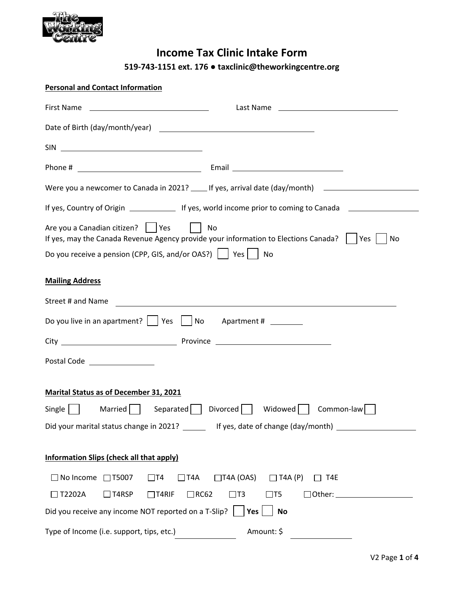

### **Income Tax Clinic Intake Form**

**519‐743‐1151 ext. 176 ● taxclinic@theworkingcentre.org**

|                               | <b>Personal and Contact Information</b>                                                                                                                                                                                                                                                                                                   |
|-------------------------------|-------------------------------------------------------------------------------------------------------------------------------------------------------------------------------------------------------------------------------------------------------------------------------------------------------------------------------------------|
|                               |                                                                                                                                                                                                                                                                                                                                           |
|                               |                                                                                                                                                                                                                                                                                                                                           |
|                               |                                                                                                                                                                                                                                                                                                                                           |
|                               |                                                                                                                                                                                                                                                                                                                                           |
|                               | Were you a newcomer to Canada in 2021? _____ If yes, arrival date (day/month) ______________________                                                                                                                                                                                                                                      |
|                               | If yes, Country of Origin _______________ If yes, world income prior to coming to Canada _________________                                                                                                                                                                                                                                |
|                               | Are you a Canadian citizen?     Yes<br>No. In the set of the set of the set of the set of the set of the set of the set of the set of the set of the s<br>If yes, may the Canada Revenue Agency provide your information to Elections Canada?    Yes<br>No<br>Do you receive a pension (CPP, GIS, and/or OAS?) $\vert$   Yes $\vert$   No |
| <b>Mailing Address</b>        |                                                                                                                                                                                                                                                                                                                                           |
| Street # and Name             | <u> 1980 - Andrea State Barbara, amerikan personal dan personal dan personal dan personal dan personal dan personal dan personal dan personal dan personal dan personal dan personal dan personal dan personal dan personal dan </u>                                                                                                      |
|                               | Do you live in an apartment? $\vert \vert$ Yes $\vert \vert$ No Apartment # ________                                                                                                                                                                                                                                                      |
|                               |                                                                                                                                                                                                                                                                                                                                           |
| Postal Code _________________ |                                                                                                                                                                                                                                                                                                                                           |
|                               | <b>Marital Status as of December 31, 2021</b>                                                                                                                                                                                                                                                                                             |
|                               | Single   Married   Separated   Divorced   Widowed   Common-law                                                                                                                                                                                                                                                                            |
|                               | Did your marital status change in 2021? _______ If yes, date of change (day/month) ________________                                                                                                                                                                                                                                       |
|                               | <b>Information Slips (check all that apply)</b>                                                                                                                                                                                                                                                                                           |
| $\Box$ No Income $\Box$ T5007 | $\Box$ T4A $\Box$ T4A (OAS) $\Box$ T4A (P)<br>$\Box$ T4<br>$\Box$ T4E                                                                                                                                                                                                                                                                     |
| $\Box$ T2202A                 | $\Box$ T4RSP<br>$\Box$ RC62<br>$\Box$ T4RIF<br>$\Box$ T3<br>$\Box$ T5<br>$\Box$ Other: $\_\_$                                                                                                                                                                                                                                             |
|                               | Did you receive any income NOT reported on a T-Slip?<br>$Yes$  <br><b>No</b>                                                                                                                                                                                                                                                              |
|                               | Amount: \$<br>Type of Income (i.e. support, tips, etc.)                                                                                                                                                                                                                                                                                   |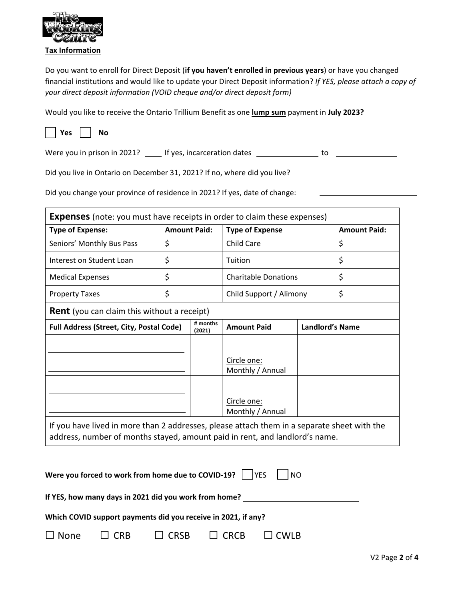

Do you want to enroll for Direct Deposit (**if you haven't enrolled in previous years**) or have you changed financial institutions and would like to update your Direct Deposit information? *If YES, please attach a copy of your direct deposit information (VOID cheque and/or direct deposit form)* 

Would you like to receive the Ontario Trillium Benefit as one **lump sum** payment in **July 2023?** 



Were you in prison in 2021? \_\_\_\_ If yes, incarceration dates \_\_\_\_\_\_\_\_\_\_\_\_\_\_ to \_\_\_\_\_\_\_\_\_\_\_\_\_\_\_

Did you live in Ontario on December 31, 2021? If no, where did you live?

Did you change your province of residence in 2021? If yes, date of change:

| <b>Type of Expense:</b>                            | <b>Amount Paid:</b> |                    | <b>Type of Expense</b>          |                        | <b>Amount Paid:</b> |
|----------------------------------------------------|---------------------|--------------------|---------------------------------|------------------------|---------------------|
| Seniors' Monthly Bus Pass                          | \$                  |                    | <b>Child Care</b>               |                        | \$                  |
| Interest on Student Loan                           | \$                  |                    | Tuition                         |                        | \$                  |
| <b>Medical Expenses</b>                            | \$                  |                    | <b>Charitable Donations</b>     |                        | \$                  |
| <b>Property Taxes</b>                              | \$                  |                    | Child Support / Alimony         |                        | \$                  |
| <b>Rent</b> (you can claim this without a receipt) |                     |                    |                                 |                        |                     |
| <b>Full Address (Street, City, Postal Code)</b>    |                     | # months<br>(2021) | <b>Amount Paid</b>              | <b>Landlord's Name</b> |                     |
|                                                    |                     |                    | Circle one:<br>Monthly / Annual |                        |                     |
|                                                    |                     |                    | Circle one:<br>Monthly / Annual |                        |                     |

|                        | Were you forced to work from home due to COVID-19? $\vert$  YES    NO |             |  |
|------------------------|-----------------------------------------------------------------------|-------------|--|
|                        | If YES, how many days in 2021 did you work from home?                 |             |  |
|                        | Which COVID support payments did you receive in 2021, if any?         |             |  |
| $\Box$ None $\Box$ CRB | $\Box$ CRSB $\Box$ CRCB                                               | $\Box$ CWLB |  |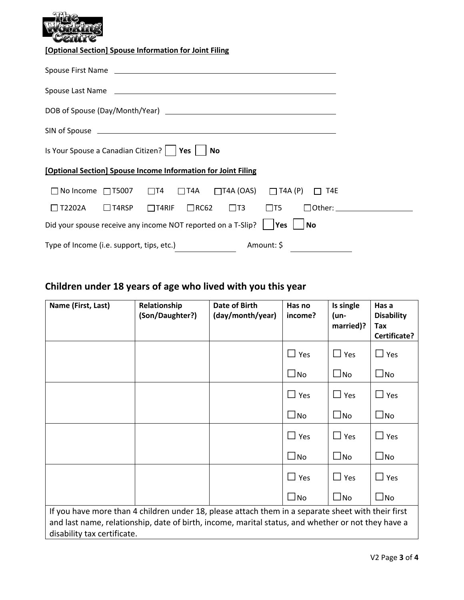**[Optional Section] Spouse Information for Joint Filing** 

| Spouse First Name experience and the second service of the service of the service of the service of the service of the service of the service of the service of the service of the service of the service of the service of th |  |
|--------------------------------------------------------------------------------------------------------------------------------------------------------------------------------------------------------------------------------|--|
| Spouse Last Name experience and the service of the service of the service of the service of the service of the                                                                                                                 |  |
|                                                                                                                                                                                                                                |  |
|                                                                                                                                                                                                                                |  |
| Is Your Spouse a Canadian Citizen? $\vert$   Yes $\vert$   No                                                                                                                                                                  |  |
| [Optional Section] Spouse Income Information for Joint Filing                                                                                                                                                                  |  |
| $\Box$ No Income $\Box$ T5007 $\Box$ T4 $\Box$ T4A $\Box$ T4A (OAS) $\Box$ T4A (P) $\Box$ T4E                                                                                                                                  |  |
| $\Box$ T4RSP $\Box$ T4RIF $\Box$ RC62 $\Box$ T3 $\Box$ T5<br>$\Box$ T2202A                                                                                                                                                     |  |
| Did your spouse receive any income NOT reported on a T-Slip? $\vert$  Yes<br>l No                                                                                                                                              |  |
| Amount: \$<br>Type of Income (i.e. support, tips, etc.)                                                                                                                                                                        |  |

## **Children under 18 years of age who lived with you this year**

| Name (First, Last)                                                                                                                                                                                                                      | Relationship<br>(Son/Daughter?) | Date of Birth<br>(day/month/year) | Has no<br>income? | Is single<br>(un-<br>married)? | Has a<br><b>Disability</b><br>Tax<br>Certificate? |
|-----------------------------------------------------------------------------------------------------------------------------------------------------------------------------------------------------------------------------------------|---------------------------------|-----------------------------------|-------------------|--------------------------------|---------------------------------------------------|
|                                                                                                                                                                                                                                         |                                 |                                   | $\Box$ Yes        | $\Box$ Yes                     | $\Box$ Yes                                        |
|                                                                                                                                                                                                                                         |                                 |                                   | $\square$ No      | $\square$ No                   | $\square$ No                                      |
|                                                                                                                                                                                                                                         |                                 |                                   | $\Box$ Yes        | $\Box$ Yes                     | $\Box$ Yes                                        |
|                                                                                                                                                                                                                                         |                                 |                                   | $\square$ No      | $\Box$ No                      | $\square$ No                                      |
|                                                                                                                                                                                                                                         |                                 |                                   | $\Box$ Yes        | $\Box$ Yes                     | $\Box$ Yes                                        |
|                                                                                                                                                                                                                                         |                                 |                                   | $\square$ No      | $\square$ No                   | $\square$ No                                      |
|                                                                                                                                                                                                                                         |                                 |                                   | $\square$ Yes     | $\Box$ Yes                     | $\Box$ Yes                                        |
|                                                                                                                                                                                                                                         |                                 |                                   | $\square$ No      | $\square$ No                   | $\square$ No                                      |
| If you have more than 4 children under 18, please attach them in a separate sheet with their first<br>and last name, relationship, date of birth, income, marital status, and whether or not they have a<br>disability tax certificate. |                                 |                                   |                   |                                |                                                   |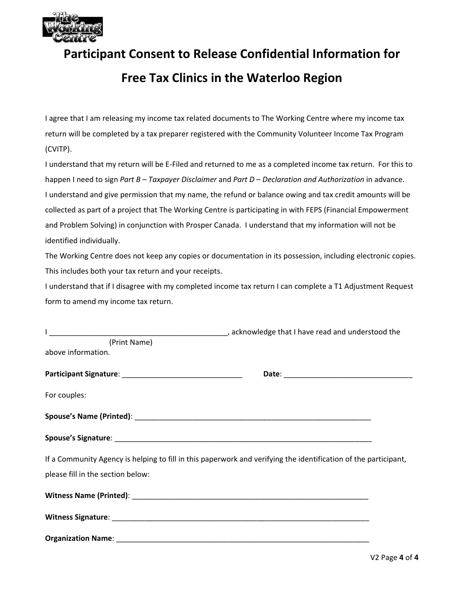

## **Participant Consent to Release Confidential Information for**

### **Free Tax Clinics in the Waterloo Region**

I agree that I am releasing my income tax related documents to The Working Centre where my income tax return will be completed by a tax preparer registered with the Community Volunteer Income Tax Program (CVITP).

I understand that my return will be E‐Filed and returned to me as a completed income tax return. For this to happen I need to sign *Part B – Taxpayer Disclaimer* and *Part D – Declaration and Authorization* in advance. I understand and give permission that my name, the refund or balance owing and tax credit amounts will be collected as part of a project that The Working Centre is participating in with FEPS (Financial Empowerment and Problem Solving) in conjunction with Prosper Canada. I understand that my information will not be identified individually.

The Working Centre does not keep any copies or documentation in its possession, including electronic copies. This includes both your tax return and your receipts.

I understand that if I disagree with my completed income tax return I can complete a T1 Adjustment Request form to amend my income tax return.

| (Print Name)                      |                                                                                                                 |
|-----------------------------------|-----------------------------------------------------------------------------------------------------------------|
| above information.                |                                                                                                                 |
|                                   |                                                                                                                 |
| For couples:                      |                                                                                                                 |
|                                   |                                                                                                                 |
|                                   |                                                                                                                 |
|                                   | If a Community Agency is helping to fill in this paperwork and verifying the identification of the participant, |
| please fill in the section below: |                                                                                                                 |
|                                   |                                                                                                                 |
|                                   |                                                                                                                 |
|                                   |                                                                                                                 |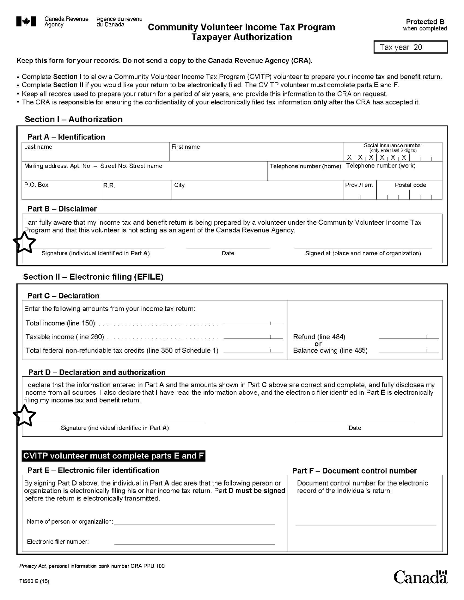

Agency

### **Community Volunteer Income Tax Program Taxpayer Authorization**

Tax year 20

#### Keep this form for your records. Do not send a copy to the Canada Revenue Agency (CRA).

- . Complete Section I to allow a Community Volunteer Income Tax Program (CVITP) volunteer to prepare your income tax and benefit return.
- . Complete Section II if you would like your return to be electronically filed. The CVITP volunteer must complete parts E and F.
- Keep all records used to prepare your return for a period of six years, and provide this information to the CRA on request.
- The CRA is responsible for ensuring the confidentiality of your electronically filed tax information only after the CRA has accepted it.

#### Section I - Authorization

| Last name           |                                                    | First name                                                                                                                                                                                                                |                         | X<br>$X + X +$                             | Social insurance number<br>(only enter last 3 digits)<br>$X_1X_2$ |
|---------------------|----------------------------------------------------|---------------------------------------------------------------------------------------------------------------------------------------------------------------------------------------------------------------------------|-------------------------|--------------------------------------------|-------------------------------------------------------------------|
|                     | Mailing address: Apt. No. - Street No. Street name |                                                                                                                                                                                                                           | Telephone number (home) |                                            | Telephone number (work)                                           |
| P.O. Box            | R.R.                                               | City                                                                                                                                                                                                                      |                         | Prov./Terr.                                | Postal code                                                       |
| Part B - Disclaimer |                                                    | am fully aware that my income tax and benefit return is being prepared by a volunteer under the Community Volunteer Income Tax<br>Program and that this volunteer is not acting as an agent of the Canada Revenue Agency. |                         |                                            |                                                                   |
|                     | Signature (individual identified in Part A)        |                                                                                                                                                                                                                           |                         | Signed at (place and name of organization) |                                                                   |

#### Section II - Electronic filing (EFILE)

| <b>Part C</b> – Declaration                                                                                                                                                                                                                                                                                                          |                                                                                  |
|--------------------------------------------------------------------------------------------------------------------------------------------------------------------------------------------------------------------------------------------------------------------------------------------------------------------------------------|----------------------------------------------------------------------------------|
| Enter the following amounts from your income tax return:                                                                                                                                                                                                                                                                             |                                                                                  |
|                                                                                                                                                                                                                                                                                                                                      |                                                                                  |
|                                                                                                                                                                                                                                                                                                                                      | Refund (line 484)                                                                |
| Total federal non-refundable tax credits (line 350 of Schedule 1) ______________                                                                                                                                                                                                                                                     | or<br>Balance owing (line 485)                                                   |
|                                                                                                                                                                                                                                                                                                                                      |                                                                                  |
| Part D - Declaration and authorization                                                                                                                                                                                                                                                                                               |                                                                                  |
| declare that the information entered in Part A and the amounts shown in Part C above are correct and complete, and fully discloses my<br>income from all sources. I also declare that I have read the information above, and the electronic filer identified in Part E is electronically<br>filing my income tax and benefit return. |                                                                                  |
|                                                                                                                                                                                                                                                                                                                                      |                                                                                  |
| Signature (individual identified in Part A)                                                                                                                                                                                                                                                                                          | Date                                                                             |
| CVITP volunteer must complete parts E and F<br><b>Part E - Electronic filer identification</b>                                                                                                                                                                                                                                       | <b>Part F - Document control number</b>                                          |
| By signing Part D above, the individual in Part A declares that the following person or<br>organization is electronically filing his or her income tax return. Part D must be signed<br>before the return is electronically transmitted.                                                                                             | Document control number for the electronic<br>record of the individual's return: |

# Canadä

Electronic filer number: